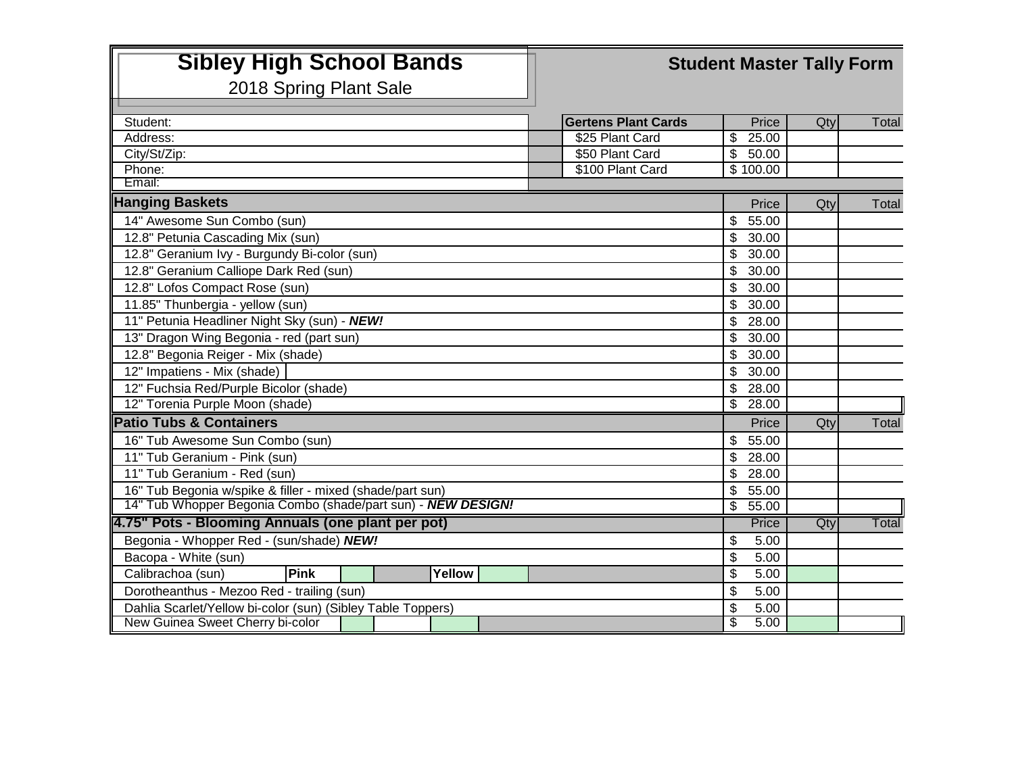## **Sibley High School Bands Student Master Tally Form**

2018 Spring Plant Sale

| Student:                                                     |                           |        |  | <b>Gertens Plant Cards</b> |                           | Price    | Qty | Total |
|--------------------------------------------------------------|---------------------------|--------|--|----------------------------|---------------------------|----------|-----|-------|
| Address:                                                     |                           |        |  | \$25 Plant Card            | $\mathfrak{S}$            | 25.00    |     |       |
| City/St/Zip:                                                 |                           |        |  | \$50 Plant Card            | $\overline{\mathcal{S}}$  | 50.00    |     |       |
| Phone:                                                       |                           |        |  | \$100 Plant Card           |                           | \$100.00 |     |       |
| Email:                                                       |                           |        |  |                            |                           |          |     |       |
| <b>Hanging Baskets</b>                                       |                           |        |  |                            |                           | Price    | Qty | Total |
| 14" Awesome Sun Combo (sun)                                  |                           |        |  |                            | \$                        | 55.00    |     |       |
| 12.8" Petunia Cascading Mix (sun)                            |                           |        |  |                            |                           | 30.00    |     |       |
| 12.8" Geranium Ivy - Burgundy Bi-color (sun)                 |                           |        |  |                            |                           | 30.00    |     |       |
| 12.8" Geranium Calliope Dark Red (sun)                       |                           |        |  |                            |                           |          |     |       |
| 12.8" Lofos Compact Rose (sun)                               |                           |        |  |                            |                           |          |     |       |
| 11.85" Thunbergia - yellow (sun)                             |                           |        |  |                            |                           | 30.00    |     |       |
| 11" Petunia Headliner Night Sky (sun) - NEW!                 |                           |        |  |                            |                           |          |     |       |
| 13" Dragon Wing Begonia - red (part sun)                     |                           |        |  |                            |                           |          |     |       |
| 12.8" Begonia Reiger - Mix (shade)                           |                           |        |  |                            |                           |          |     |       |
| 12" Impatiens - Mix (shade)                                  |                           |        |  |                            |                           |          |     |       |
| 12" Fuchsia Red/Purple Bicolor (shade)                       |                           |        |  |                            |                           |          |     |       |
| 12" Torenia Purple Moon (shade)                              |                           |        |  |                            |                           |          |     |       |
| <b>Patio Tubs &amp; Containers</b>                           |                           |        |  |                            |                           | Price    | Qty | Total |
| 16" Tub Awesome Sun Combo (sun)                              |                           |        |  |                            |                           | 55.00    |     |       |
| 11" Tub Geranium - Pink (sun)                                |                           |        |  |                            |                           | 28.00    |     |       |
| 11" Tub Geranium - Red (sun)                                 |                           |        |  |                            |                           | 28.00    |     |       |
| 16" Tub Begonia w/spike & filler - mixed (shade/part sun)    |                           |        |  |                            |                           | 55.00    |     |       |
| 14" Tub Whopper Begonia Combo (shade/part sun) - NEW DESIGN! |                           |        |  |                            |                           | 55.00    |     |       |
| 4.75" Pots - Blooming Annuals (one plant per pot)            |                           |        |  |                            |                           | Price    | Qty | Total |
| Begonia - Whopper Red - (sun/shade) NEW!                     |                           |        |  |                            |                           | 5.00     |     |       |
| Bacopa - White (sun)                                         |                           |        |  |                            |                           |          |     |       |
| Pink<br>Calibrachoa (sun)                                    |                           | Yellow |  |                            | $\boldsymbol{\mathsf{S}}$ | 5.00     |     |       |
| Dorotheanthus - Mezoo Red - trailing (sun)                   | $\boldsymbol{\mathsf{S}}$ | 5.00   |  |                            |                           |          |     |       |
| Dahlia Scarlet/Yellow bi-color (sun) (Sibley Table Toppers)  | \$                        | 5.00   |  |                            |                           |          |     |       |
| New Guinea Sweet Cherry bi-color                             |                           |        |  |                            | \$                        | 5.00     |     |       |